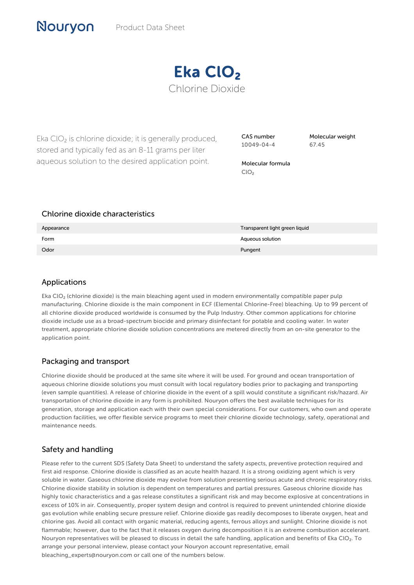

Eka  $ClO<sub>2</sub>$  is chlorine dioxide; it is generally produced, stored and typically fed as an 8-11 grams per liter aqueous solution to the desired application point.

CAS number 10049-04-4

Molecular weight 67.45

Molecular formula ClO<sub>2</sub>

### Chlorine dioxide characteristics

| Appearance | Transparent light green liquid |
|------------|--------------------------------|
| Form       | Aqueous solution               |
| Odor       | Pungent                        |

## Applications

Nouryon

Eka ClO₂ (chlorine dioxide) is the main bleaching agent used in modern environmentally compatible paper pulp manufacturing. Chlorine dioxide is the main component in ECF (Elemental Chlorine-Free) bleaching. Up to 99 percent of all chlorine dioxide produced worldwide is consumed by the Pulp Industry. Other common applications for chlorine dioxide include use as a broad-spectrum biocide and primary disinfectant for potable and cooling water. In water treatment, appropriate chlorine dioxide solution concentrations are metered directly from an on-site generator to the application point.

# Packaging and transport

Chlorine dioxide should be produced at the same site where it will be used. For ground and ocean transportation of aqueous chlorine dioxide solutions you must consult with local regulatory bodies prior to packaging and transporting (even sample quantities). A release of chlorine dioxide in the event of a spill would constitute a significant risk/hazard. Air transportation of chlorine dioxide in any form is prohibited. Nouryon offers the best available techniques for its generation, storage and application each with their own special considerations. For our customers, who own and operate production facilities, we offer flexible service programs to meet their chlorine dioxide technology, safety, operational and maintenance needs.

# Safety and handling

Please refer to the current SDS (Safety Data Sheet) to understand the safety aspects, preventive protection required and first aid response. Chlorine dioxide is classified as an acute health hazard. It is a strong oxidizing agent which is very soluble in water. Gaseous chlorine dioxide may evolve from solution presenting serious acute and chronic respiratory risks. Chlorine dioxide stability in solution is dependent on temperatures and partial pressures. Gaseous chlorine dioxide has highly toxic characteristics and a gas release constitutes a significant risk and may become explosive at concentrations in excess of 10% in air. Consequently, proper system design and control is required to prevent unintended chlorine dioxide gas evolution while enabling secure pressure relief. Chlorine dioxide gas readily decomposes to liberate oxygen, heat and chlorine gas. Avoid all contact with organic material, reducing agents, ferrous alloys and sunlight. Chlorine dioxide is not flammable; however, due to the fact that it releases oxygen during decomposition it is an extreme combustion accelerant. Nouryon representatives will be pleased to discuss in detail the safe handling, application and benefits of Eka ClO₂. To arrange your personal interview, please contact your Nouryon account representative, email bleaching\_experts@nouryon.com or call one of the numbers below.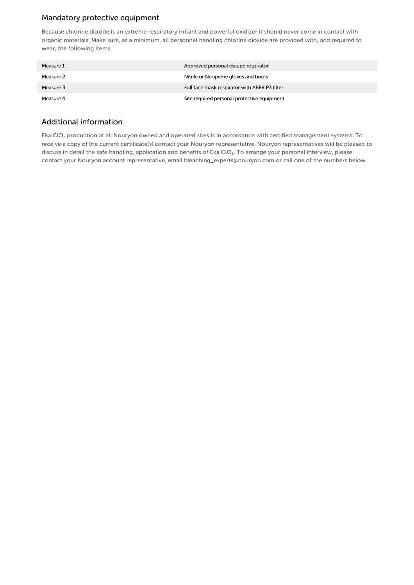# Mandatory protective equipment

Because chlorine dioxide is an extreme respiratory irritant and powerful oxidizer it should never come in contact with organic materials. Make sure, as a minimum, all personnel handling chlorine dioxide are provided with, and required to wear, the following items:

| Measure 1 | Approved personal escape respirator           |
|-----------|-----------------------------------------------|
| Measure 2 | Nitrile or Neoprene gloves and boots          |
| Measure 3 | Full face mask respirator with ABEK P3 filter |
| Measure 4 | Site required personal protective equipment   |

#### Additional information

Eka ClO₂ production at all Nouryon owned and operated sites is in accordance with certified management systems. To receive a copy of the current certificate(s) contact your Nouryon representative. Nouryon representatives will be pleased to discuss in detail the safe handling, application and benefits of Eka ClO<sub>2</sub>. To arrange your personal interview, please contact your Nouryon account representative, email bleaching\_experts@nouryon.com or call one of the numbers below.